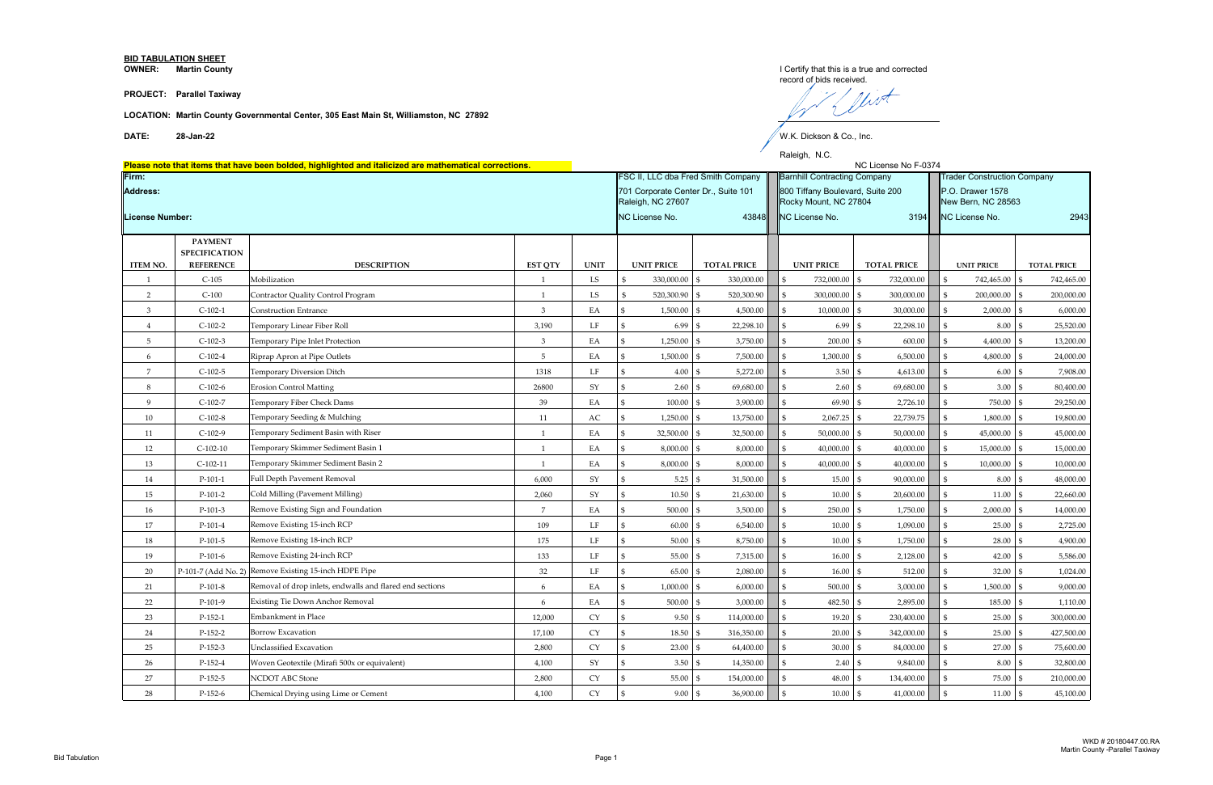|               | BID TABULATION SHEET |                                             |
|---------------|----------------------|---------------------------------------------|
| <b>OWNER:</b> | <b>Martin County</b> | I Certify that this is a true and corrected |
|               |                      | record of bids received.                    |

Vist

 $W$ .K. Dickson & Co., Inc.

**DATE: 28-Jan-22**

Raleigh, N.C.

## **PROJECT: Parallel Taxiway**

**LOCATION: Martin County Governmental Center, 305 East Main St, Williamston, NC 27892**

|                 |                                          | Please note that items that have been bolded, highlighted and italicized are mathematical corrections. | NC License No F-0374 |                                    |                                                          |                              |                                     |                                                           |                                    |                                        |                                     |  |                                  |  |
|-----------------|------------------------------------------|--------------------------------------------------------------------------------------------------------|----------------------|------------------------------------|----------------------------------------------------------|------------------------------|-------------------------------------|-----------------------------------------------------------|------------------------------------|----------------------------------------|-------------------------------------|--|----------------------------------|--|
| Firm:           |                                          |                                                                                                        |                      | FSC II, LLC dba Fred Smith Company |                                                          |                              | <b>Barnhill Contracting Company</b> |                                                           | <b>Trader Construction Company</b> |                                        |                                     |  |                                  |  |
| Address:        |                                          |                                                                                                        |                      |                                    | 701 Corporate Center Dr., Suite 101<br>Raleigh, NC 27607 |                              |                                     | 800 Tiffany Boulevard, Suite 200<br>Rocky Mount, NC 27804 |                                    | P.O. Drawer 1578<br>New Bern, NC 28563 |                                     |  |                                  |  |
| License Number: |                                          |                                                                                                        |                      |                                    | NC License No.                                           | 43848                        | NC License No.<br>3194              |                                                           |                                    |                                        | NC License No.                      |  |                                  |  |
|                 |                                          |                                                                                                        |                      |                                    |                                                          |                              |                                     |                                                           |                                    |                                        |                                     |  | 2943                             |  |
|                 | <b>PAYMENT</b>                           |                                                                                                        |                      |                                    |                                                          |                              |                                     |                                                           |                                    |                                        |                                     |  |                                  |  |
| <b>ITEM NO.</b> | <b>SPECIFICATION</b><br><b>REFERENCE</b> | <b>DESCRIPTION</b>                                                                                     | <b>EST QTY</b>       | <b>UNIT</b>                        | <b>UNIT PRICE</b>                                        | <b>TOTAL PRICE</b>           |                                     | <b>UNIT PRICE</b>                                         | <b>TOTAL PRICE</b>                 |                                        |                                     |  |                                  |  |
| 1               | $C-105$                                  | Mobilization                                                                                           |                      | LS                                 | 330,000.00                                               | $\mathbb{S}$<br>330,000.00   |                                     | $\mathfrak{L}$<br>732,000.00                              | $\sqrt{S}$<br>732,000.00           |                                        | <b>UNIT PRICE</b><br>742,465.00     |  | <b>TOTAL PRICE</b><br>742,465.00 |  |
| $\overline{2}$  | $C-100$                                  | Contractor Quality Control Program                                                                     | $\mathbf{1}$         | LS                                 | \$<br>520,300.90                                         | $\mathfrak{S}$<br>520,300.90 |                                     | $\mathfrak{s}$<br>$300,000.00$ \$                         | 300,000.00                         |                                        | $200,000.00$ \$                     |  | 200,000.00                       |  |
| 3               | $C-102-1$                                | <b>Construction Entrance</b>                                                                           | 3                    | EA                                 | 1,500.00                                                 | 4,500.00<br>$\mathfrak{L}$   |                                     | 10,000.00<br>$\mathfrak{S}$                               | $\mathbf{\$}$<br>30,000.00         |                                        | 2,000.00                            |  | 6,000.00                         |  |
| $\overline{4}$  | $C-102-2$                                | Temporary Linear Fiber Roll                                                                            | 3,190                | LF                                 | 6.99                                                     | 22,298.10                    |                                     | \$<br>6.99                                                | 22,298.10                          |                                        | 8.00                                |  | 25,520.00                        |  |
| 5 <sub>5</sub>  | $C-102-3$                                | Temporary Pipe Inlet Protection                                                                        | 3                    | EA                                 | 1,250.00                                                 | 3,750.00                     |                                     | $\mathfrak{S}$<br>200.00                                  | $\sqrt{S}$<br>600.00               |                                        | 4,400.00                            |  | 13,200.00                        |  |
| 6               | $C-102-4$                                | Riprap Apron at Pipe Outlets                                                                           | $5\phantom{.0}$      | EA                                 | 1,500.00                                                 | $\mathfrak{L}$<br>7,500.00   |                                     | $\mathfrak{S}$<br>1,300.00                                | l \$<br>6,500.00                   |                                        | 4,800.00                            |  | 24,000.00                        |  |
| 7               | $C-102-5$                                | Temporary Diversion Ditch                                                                              | 1318                 | LF                                 | 4.00                                                     | 5,272.00<br>\$               |                                     | \$<br>3.50                                                | 4,613.00<br>l \$                   |                                        | 6.00                                |  | 7,908.00                         |  |
| 8               | $C-102-6$                                | <b>Erosion Control Matting</b>                                                                         | 26800                | ${\rm SY}$                         | 2.60                                                     | 69,680.00<br>\$              |                                     | $\mathfrak{S}$<br>2.60                                    | \$<br>69,680.00                    |                                        | $\mathfrak{L}$<br>3.00              |  | 80,400.00                        |  |
| 9               | $C-102-7$                                | Temporary Fiber Check Dams                                                                             | 39                   | EA                                 | 100.00                                                   | $\mathfrak{L}$<br>3,900.00   |                                     | $\mathfrak{S}$<br>69.90 \$                                | 2,726.10                           |                                        | 750.00<br>ፍ                         |  | 29,250.00                        |  |
| 10 <sup>1</sup> | $C-102-8$                                | Temporary Seeding & Mulching                                                                           | 11                   | $\mathbf{AC}$                      | 1,250.00                                                 | 13,750.00<br>\$              |                                     | \$<br>2,067.25 \$                                         | 22,739.75                          |                                        | 1,800.00                            |  | 19,800.00                        |  |
| 11              | $C-102-9$                                | Temporary Sediment Basin with Riser                                                                    | $\overline{1}$       | EA                                 | 32,500.00                                                | $\mathfrak{L}$<br>32,500.00  |                                     | $\mathfrak{S}$<br>$50,000.00$ \$                          | 50,000.00                          |                                        | 45,000.00                           |  | 45,000.00                        |  |
| 12              | $C-102-10$                               | Temporary Skimmer Sediment Basin 1                                                                     | $\mathbf{1}$         | $\mathop{\rm EA}\nolimits$         | 8,000.00                                                 | 8,000.00<br>\$               |                                     | $\mathfrak{S}$<br>40,000.00                               | $\sqrt{5}$<br>40,000.00            |                                        | ፍ<br>15,000.00 \$                   |  | 15,000.00                        |  |
| 13              | $C-102-11$                               | Temporary Skimmer Sediment Basin 2                                                                     | $\overline{1}$       | EA                                 | 8,000.00                                                 | 8,000.00<br>$\mathfrak{S}$   |                                     | $\mathfrak{S}$<br>40,000.00                               | $\mathbf{\$}$<br>40,000.00         |                                        | 10,000.00                           |  | 10,000.00                        |  |
| 14              | $P-101-1$                                | Full Depth Pavement Removal                                                                            | 6,000                | SY                                 | 5.25                                                     | $\mathfrak{L}$<br>31,500.00  |                                     | $\mathfrak{S}$<br>15.00                                   | l \$<br>90,000.00                  |                                        | $\mathfrak{S}$<br>8.00              |  | 48,000.00                        |  |
| 15              | $P-101-2$                                | Cold Milling (Pavement Milling)                                                                        | 2,060                | ${\rm SY}$                         | 10.50                                                    | 21,630.00<br>$\mathfrak{S}$  |                                     | $\mathfrak{S}$<br>10.00                                   | 20,600.00<br>$\mathfrak{S}$        |                                        | $\mathfrak{S}$<br>11.00             |  | 22,660.00                        |  |
| 16              | $P-101-3$                                | Remove Existing Sign and Foundation                                                                    | $\overline{7}$       | EA                                 | 500.00                                                   | 3,500.00                     |                                     | \$<br>250.00                                              | $\mathfrak{S}$<br>1,750.00         |                                        | 2,000.00                            |  | 14,000.00                        |  |
| 17              | $P-101-4$                                | Remove Existing 15-inch RCP                                                                            | 109                  | LF                                 | 60.00                                                    | 6,540.00                     |                                     | \$<br>10.00                                               | 1,090.00<br>$\mathfrak{S}$         |                                        | 25.00                               |  | 2,725.00                         |  |
| 18              | $P-101-5$                                | Remove Existing 18-inch RCP                                                                            | 175                  | LF                                 | 50.00                                                    | 8,750.00                     |                                     | $\mathfrak{S}$<br>10.00                                   | $\mathfrak{S}$<br>1,750.00         |                                        | 28.00                               |  | 4,900.00                         |  |
| 19              | $P-101-6$                                | Remove Existing 24-inch RCP                                                                            | 133                  | LF                                 | 55.00                                                    | 7,315.00                     |                                     | $\mathfrak{S}$<br>16.00                                   | 2,128.00<br>- \$                   |                                        | 42.00                               |  | 5,586.00                         |  |
| 20              |                                          | P-101-7 (Add No. 2) Remove Existing 15-inch HDPE Pipe                                                  | 32                   | LF                                 | 65.00                                                    | 2,080.00<br>\$               |                                     | $\mathfrak{S}$<br>$16.00$ \$                              | 512.00                             |                                        | 32.00                               |  | 1,024.00                         |  |
| 21              | $P-101-8$                                | Removal of drop inlets, endwalls and flared end sections                                               | 6                    | EA                                 | 1,000.00                                                 | 6,000.00                     |                                     | 500.00                                                    | 3,000.00<br>l \$                   |                                        | 1,500.00                            |  | 9,000.00                         |  |
| 22              | P-101-9                                  | Existing Tie Down Anchor Removal                                                                       | 6                    | EA                                 | 500.00 \$                                                | 3,000.00<br>¢                |                                     | 482.50 \$                                                 | 2,895.00                           |                                        | 185.00                              |  | 1,110.00                         |  |
| 23              | $P-152-1$                                | Embankment in Place                                                                                    | 12,000               | CY                                 | 9.50<br>\$                                               | \$<br>114,000.00             |                                     | $\mathfrak{s}$<br>$19.20$ \$                              | 230,400.00                         |                                        | \$<br>25.00                         |  | 300,000.00                       |  |
| 24              | $P-152-2$                                | <b>Borrow Excavation</b>                                                                               | 17,100               | CY                                 | \$<br>18.50                                              | 316,350.00<br>\$             |                                     | $\mathbb{S}$<br>$20.00$ \$                                | 342,000.00                         |                                        | $\mathfrak{S}$<br>$25.00$ \$        |  | 427,500.00                       |  |
| 25              | $P-152-3$                                | Unclassified Excavation                                                                                | 2,800                | <b>CY</b>                          | 23.00<br>\$                                              | 64,400.00<br>$\mathfrak{S}$  |                                     | $\mathfrak{S}$<br>$30.00$ \$                              | 84,000.00                          |                                        | 27.00                               |  | 75,600.00                        |  |
| 26              | $P-152-4$                                | Woven Geotextile (Mirafi 500x or equivalent)                                                           | 4,100                | SY                                 | $\mathfrak{S}$<br>$3.50$ \$                              | 14,350.00                    |                                     | $\mathfrak{s}$<br>$2.40\degree$ \$                        | 9,840.00                           |                                        | $\mathfrak{S}$<br>$8.00_{\circ}$ \$ |  | 32,800.00                        |  |
| 27              | $P-152-5$                                | <b>NCDOT ABC Stone</b>                                                                                 | 2,800                | <b>CY</b>                          | $\mathbb{S}$<br>55.00                                    | $\mathfrak{L}$<br>154,000.00 |                                     | $\mathbb{S}$<br>$48.00$ \$                                | 134,400.00                         |                                        | $\mathfrak{L}$<br>75.00             |  | 210,000.00                       |  |
| 28              | $P-152-6$                                | Chemical Drying using Lime or Cement                                                                   | 4,100                | CY                                 | $9.00\,$ \$<br>$\mathfrak{S}$                            | 36,900.00                    |                                     | $\mathfrak{S}$<br>$10.00$ \$                              | 41,000.00                          |                                        | ፍ<br>11.00 \$                       |  | 45,100.00                        |  |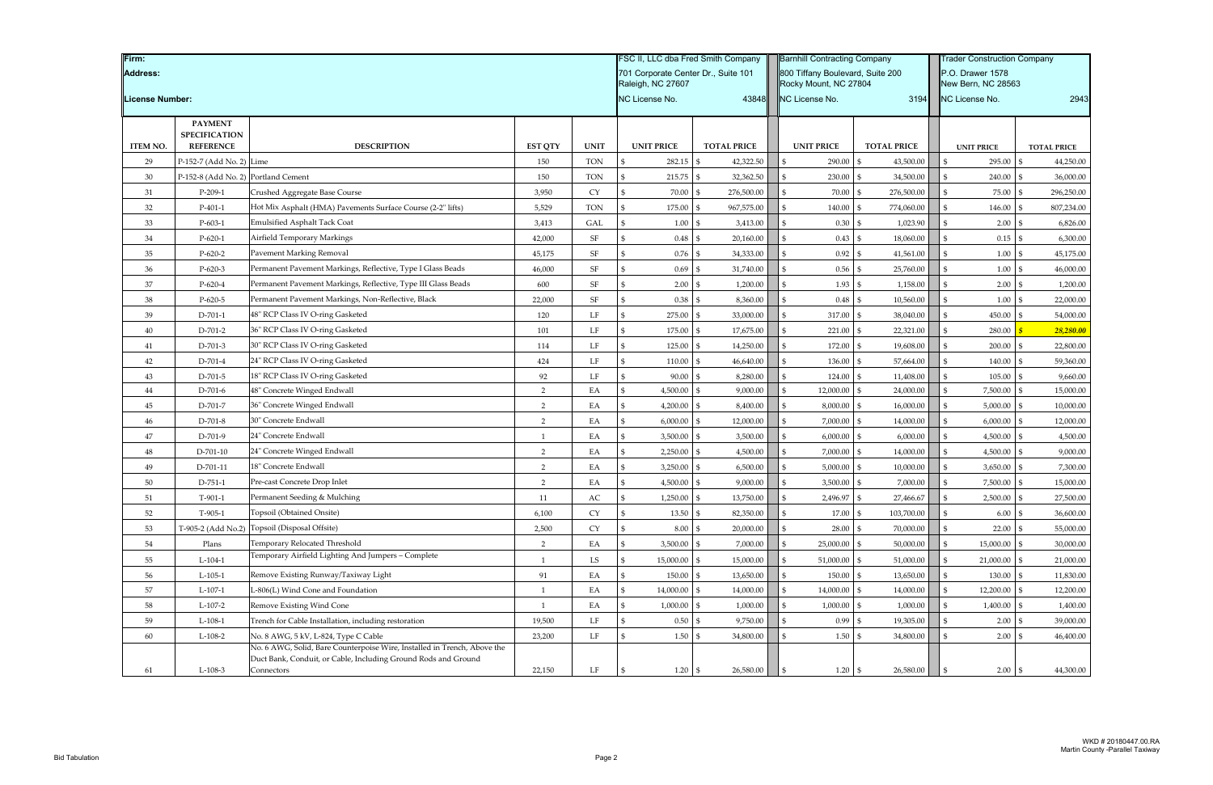| Firm:           |                                     |                                                                          |                |                                     |                         | FSC II, LLC dba Fred Smith Company | <b>Barnhill Contracting Company</b> |                             | <b>Trader Construction Company</b> |                        |                    |  |  |
|-----------------|-------------------------------------|--------------------------------------------------------------------------|----------------|-------------------------------------|-------------------------|------------------------------------|-------------------------------------|-----------------------------|------------------------------------|------------------------|--------------------|--|--|
| <b>Address:</b> |                                     |                                                                          |                | 701 Corporate Center Dr., Suite 101 |                         | 800 Tiffany Boulevard, Suite 200   |                                     | P.O. Drawer 1578            |                                    |                        |                    |  |  |
|                 |                                     |                                                                          |                |                                     | Raleigh, NC 27607       |                                    | Rocky Mount, NC 27804               |                             | New Bern, NC 28563                 |                        |                    |  |  |
| License Number: |                                     |                                                                          |                |                                     | NC License No.          | 43848                              | NC License No.                      | 3194                        | NC License No.                     |                        | 2943               |  |  |
|                 | <b>PAYMENT</b>                      |                                                                          |                |                                     |                         |                                    |                                     |                             |                                    |                        |                    |  |  |
|                 | <b>SPECIFICATION</b>                |                                                                          |                |                                     |                         |                                    |                                     |                             |                                    |                        |                    |  |  |
| <b>ITEM NO.</b> | <b>REFERENCE</b>                    | <b>DESCRIPTION</b>                                                       | <b>EST QTY</b> | <b>UNIT</b>                         | <b>UNIT PRICE</b>       | <b>TOTAL PRICE</b>                 | <b>UNIT PRICE</b>                   | <b>TOTAL PRICE</b>          | <b>UNIT PRICE</b>                  |                        | <b>TOTAL PRICE</b> |  |  |
| 29              | P-152-7 (Add No. 2) Lime            |                                                                          | 150            | <b>TON</b>                          | $\mathcal{S}$<br>282.15 | 42,322.50<br>$\mathbb{S}$          | $\mathfrak{S}$<br>290.00            | 43,500.00                   | $\mathbb{S}$<br>$295.00$ \$        |                        | 44,250.00          |  |  |
| 30              | P-152-8 (Add No. 2) Portland Cement |                                                                          | 150            | <b>TON</b>                          | 215.75<br>\$            | 32,362.50<br>$\mathfrak{L}$        | $\mathfrak s$<br>230.00             | 34,500.00                   | $\mathfrak{S}$<br>$240.00$ \$      |                        | 36,000.00          |  |  |
| 31              | $P-209-1$                           | Crushed Aggregate Base Course                                            | 3,950          | <b>CY</b>                           | 70.00                   | 276,500.00                         | $\mathfrak{S}$<br>70.00             | 276,500.00                  | $\mathcal{S}$<br>75.00             |                        | 296,250.00         |  |  |
| 32              | $P-401-1$                           | Hot Mix Asphalt (HMA) Pavements Surface Course (2-2" lifts)              | 5,529          | <b>TON</b>                          | 175.00                  | 967,575.00                         | $\mathbb{S}$<br>140.00              | 774,060.00                  | \$<br>146.00 \$                    |                        | 807,234.00         |  |  |
| 33              | $P-603-1$                           | <b>Emulsified Asphalt Tack Coat</b>                                      | 3,413          | GAL                                 | 1.00                    | \$<br>3,413.00                     | 0.30<br>\$                          | 1,023.90                    | \$                                 | $2.00 \, \text{S}$     | 6,826.00           |  |  |
| 34              | $P-620-1$                           | Airfield Temporary Markings                                              | 42,000         | $\rm{SF}$                           | 0.48                    | 20,160.00<br>\$                    | $\mathfrak{S}$<br>$0.43\quad$       | 18,060.00                   | \$                                 | $0.15 - $$             | 6,300.00           |  |  |
| 35              | $P-620-2$                           | Pavement Marking Removal                                                 | 45,175         | <b>SF</b>                           | 0.76<br>\$              | 34,333.00<br>\$                    | $\mathbb{S}$<br>0.92                | 41,561.00<br>- \$           | \$                                 | $1.00 \, \text{S}$     | 45,175.00          |  |  |
| 36              | $P-620-3$                           | Permanent Pavement Markings, Reflective, Type I Glass Beads              | 46,000         | <b>SF</b>                           | 0.69                    | $\mathfrak{L}$<br>31,740.00        | $\mathfrak{S}$<br>0.56              | 25,760.00<br>-\$            | $\mathcal{S}$                      | $1.00\,$ \$            | 46,000.00          |  |  |
| 37              | $P-620-4$                           | Permanent Pavement Markings, Reflective, Type III Glass Beads            | 600            | $\mbox{SF}$                         | 2.00                    | 1,200.00<br>$\mathbb{S}$           | $\mathfrak{S}$<br>1.93              | 1,158.00                    | \$                                 | $2.00\,$ \$            | 1,200.00           |  |  |
| 38              | $P-620-5$                           | Permanent Pavement Markings, Non-Reflective, Black                       | 22,000         | <b>SF</b>                           | 0.38                    | 8,360.00<br>\$                     | $\mathbb{S}$<br>0.48                | 10,560.00                   | \$                                 | $1.00 \,$ \$           | 22,000.00          |  |  |
| 39              | $D-701-1$                           | 48" RCP Class IV O-ring Gasketed                                         | 120            | LF                                  | 275.00                  | 33,000.00                          | $\mathfrak s$<br>317.00 \$          | 38,040.00                   | \$<br>450.00 \$                    |                        | 54,000.00          |  |  |
| 40              | $D-701-2$                           | 36" RCP Class IV O-ring Gasketed                                         | 101            | LF                                  | 175.00                  | 17,675.00                          | $\mathbb{S}$<br>221.00              | 22,321.00                   | \$<br>280.00                       |                        | 28,280.00          |  |  |
| 41              | D-701-3                             | 30" RCP Class IV O-ring Gasketed                                         | 114            | LF                                  | 125.00                  | 14,250.00                          | $\mathbb{S}$<br>172.00              | 19,608.00                   | \$<br>$200.00$ \$                  |                        | 22,800.00          |  |  |
| 42              | D-701-4                             | 24" RCP Class IV O-ring Gasketed                                         | 424            | LF                                  | ፍ<br>110.00             | 46,640.00<br>$\mathfrak{L}$        | $\mathbb{S}$<br>136.00              | 57,664.00                   | \$<br>$140.00$ \$                  |                        | 59,360.00          |  |  |
| 43              | D-701-5                             | 18" RCP Class IV O-ring Gasketed                                         | 92             | LF                                  | 90.00                   | 8,280.00<br>$\mathfrak{L}$         | $\mathbb{S}$<br>124.00              | 11,408.00                   | $\mathfrak{L}$<br>$105.00$ \$      |                        | 9,660.00           |  |  |
| $\bf 44$        | D-701-6                             | 48" Concrete Winged Endwall                                              | 2              | EA                                  | 4,500.00<br>\$          | \$<br>9,000.00                     | $\mathbb{S}$<br>12,000.00           | 24,000.00                   | \$<br>7,500.00 \$                  |                        | 15,000.00          |  |  |
| 45              | D-701-7                             | 36" Concrete Winged Endwall                                              | 2              | EA                                  | 4,200.00                | $\mathfrak{L}$<br>8,400.00         | \$<br>8,000.00                      | 16,000.00                   | \$<br>$5,000.00$ \$                |                        | 10,000.00          |  |  |
| 46              | $D-701-8$                           | 30" Concrete Endwall                                                     | $\overline{2}$ | EA                                  | 6,000.00                | 12,000.00<br>$\mathfrak{L}$        | $\mathbb{S}$<br>7,000.00            | 14,000.00<br>$\mathfrak{S}$ | $\mathbb{S}$<br>$6,000.00$ \$      |                        | 12,000.00          |  |  |
| 47              | D-701-9                             | 24" Concrete Endwall                                                     | $\mathbf{1}$   | EA                                  | 3,500.00                | \$<br>3,500.00                     | $\mathfrak{L}$<br>6,000.00          | 6,000.00                    | \$<br>$4,500.00$ \$                |                        | 4,500.00           |  |  |
| 48              | D-701-10                            | 24" Concrete Winged Endwall                                              | $\overline{2}$ | EA                                  | 2,250.00                | \$<br>4,500.00                     | $\mathfrak{S}$<br>7,000.00 \$       | 14,000.00                   | \$<br>$4,500.00$ \$                |                        | 9,000.00           |  |  |
| 49              | D-701-11                            | 18" Concrete Endwall                                                     | $\overline{2}$ | EA                                  | 3,250.00                | \$<br>6,500.00                     | $\mathfrak{S}$<br>$5,000.00$ \$     | 10,000.00                   | \$<br>$3,650.00$ \$                |                        | 7,300.00           |  |  |
| 50              | $D-751-1$                           | Pre-cast Concrete Drop Inlet                                             | 2              | EA                                  | 4,500.00                | 9,000.00                           | $\mathfrak{L}$<br>3,500.00          | 7,000.00                    | \$<br>7,500.00 \$                  |                        | 15,000.00          |  |  |
| 51              | $T-901-1$                           | Permanent Seeding & Mulching                                             | -11            | AC                                  | $1,250.00$ \$<br>\$     | 13,750.00                          | 2,496.97 \$<br>\$                   | 27,466.67                   | $\vert$ \$<br>$2,500.00$ \$        |                        | 27,500.00          |  |  |
| 52              | $T-905-1$                           | Topsoil (Obtained Onsite)                                                | 6,100          | <b>CY</b>                           | $13.50$ \$              | 82,350.00                          | $\mathbb{S}$<br>17.00               | 103,700.00                  | $\mathbb{S}$                       | $6.00\,$ \$            | 36,600.00          |  |  |
| 53              |                                     | T-905-2 (Add No.2) Topsoil (Disposal Offsite)                            | 2,500          | CY                                  | 8.00                    | 20,000.00                          | $\mathfrak{S}$<br>28.00             | 70,000.00                   | $\mathbb{S}$                       | $22.00 \; \vert \; \$$ | 55,000.00          |  |  |
| 54              | Plans                               | Temporary Relocated Threshold                                            | $\overline{2}$ | $\mathop{\rm EA}\nolimits$          | 3,500.00                | 7,000.00<br>\$                     | $\mathfrak{s}$<br>25,000.00         | 50,000.00                   | \$<br>15,000.00 \$                 |                        | 30,000.00          |  |  |
| 55              | $L-104-1$                           | Temporary Airfield Lighting And Jumpers - Complete                       | $\mathbf{1}$   | LS                                  | 15,000.00               | 15,000.00<br>$\mathfrak{L}$        | $\mathbb{S}$<br>$51,000.00$ \\$     | 51,000.00                   | \$<br>21,000.00 \$                 |                        | 21,000.00          |  |  |
| 56              | $L-105-1$                           | Remove Existing Runway/Taxiway Light                                     | 91             | EA                                  | 150.00                  | 13,650.00<br>$\mathfrak{L}$        | $\mathbb{S}$<br>150.00 \$           | 13,650.00                   | $\mathfrak{S}$<br>130.00 \$        |                        | 11,830.00          |  |  |
| 57              | $L-107-1$                           | L-806(L) Wind Cone and Foundation                                        | $\mathbf{1}$   | EA                                  | 14,000.00               | $\mathbb{S}$<br>14,000.00          | $\mathbb{S}$<br>14,000.00           | 14,000.00                   | $\mathcal{S}$<br>12,200.00 \$      |                        | 12,200.00          |  |  |
| 58              | $L-107-2$                           | Remove Existing Wind Cone                                                | $\mathbf{1}$   | EA                                  | 1,000.00                | 1,000.00<br>$\mathfrak{S}$         | $\mathbb{S}$<br>1,000.00            | 1,000.00                    | \$<br>$1,400.00$ \$                |                        | 1,400.00           |  |  |
| 59              | $L-108-1$                           | Trench for Cable Installation, including restoration                     | 19,500         | LF                                  |                         | \$                                 | $\mathbb{S}$                        |                             | \$                                 |                        |                    |  |  |
|                 |                                     | No. 8 AWG, 5 kV, L-824, Type C Cable                                     |                | LF                                  | 0.50                    | 9,750.00                           | 0.99<br>$\mathfrak{S}$              | 19,305.00                   | \$                                 | $2.00 \, \text{S}$     | 39,000.00          |  |  |
| 60              | $L-108-2$                           | No. 6 AWG, Solid, Bare Counterpoise Wire, Installed in Trench, Above the | 23,200         |                                     | 1.50                    | 34,800.00<br>\$                    | $1.50$ \$                           | 34,800.00                   |                                    | $2.00 \, \text{S}$     | 46,400.00          |  |  |
|                 |                                     | Duct Bank, Conduit, or Cable, Including Ground Rods and Ground           |                |                                     |                         |                                    |                                     |                             |                                    |                        |                    |  |  |
| 61              | $L-108-3$                           | Connectors                                                               | 22,150         | $\rm LF$                            | $\mathfrak{S}$          | 26,580.00                          | $\mathfrak{S}$<br>$1.20$ \$         | 26,580.00                   | $\mathfrak s$                      | $2.00\,$ \$            | 44,300.00          |  |  |